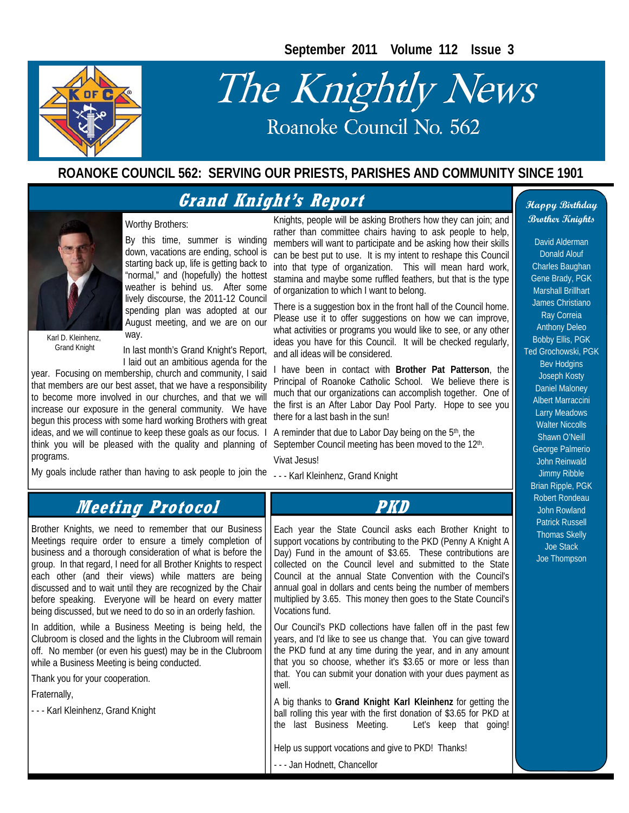**September 2011 Volume 112 Issue 3** 



# The Knightly News Roanoke Council No. 562

#### **ROANOKE COUNCIL 562: SERVING OUR PRIESTS, PARISHES AND COMMUNITY SINCE 1901**

#### **Grand Knight's Report**



Karl D. Kleinhenz, Grand Knight

In last month's Grand Knight's Report, I laid out an ambitious agenda for the

lively discourse, the 2011-12 Council spending plan was adopted at our August meeting, and we are on our

year. Focusing on membership, church and community, I said that members are our best asset, that we have a responsibility to become more involved in our churches, and that we will increase our exposure in the general community. We have begun this process with some hard working Brothers with great ideas, and we will continue to keep these goals as our focus. I think you will be pleased with the quality and planning of programs.

way.

Worthy Brothers:

My goals include rather than having to ask people to join the

By this time, summer is winding down, vacations are ending, school is starting back up, life is getting back to "normal," and (hopefully) the hottest weather is behind us. After some Knights, people will be asking Brothers how they can join; and rather than committee chairs having to ask people to help, members will want to participate and be asking how their skills can be best put to use. It is my intent to reshape this Council into that type of organization. This will mean hard work, stamina and maybe some ruffled feathers, but that is the type of organization to which I want to belong.

> There is a suggestion box in the front hall of the Council home. Please use it to offer suggestions on how we can improve, what activities or programs you would like to see, or any other ideas you have for this Council. It will be checked regularly, and all ideas will be considered.

> I have been in contact with **Brother Pat Patterson**, the Principal of Roanoke Catholic School. We believe there is much that our organizations can accomplish together. One of the first is an After Labor Day Pool Party. Hope to see you there for a last bash in the sun!

A reminder that due to Labor Day being on the 5th, the September Council meeting has been moved to the 12<sup>th</sup>. Vivat Jesus!

- - - Karl Kleinhenz, Grand Knight

**Happy Birthday Brother Knights** 

David Alderman Donald Alouf Charles Baughan Gene Brady, PGK Marshall Brillhart James Christiano Ray Correia Anthony Deleo Bobby Ellis, PGK Ted Grochowski, PGK Bev Hodgins Joseph Kosty Daniel Maloney Albert Marraccini Larry Meadows Walter Niccolls Shawn O'Neill George Palmerio John Reinwald Jimmy Ribble Brian Ripple, PGK Robert Rondeau John Rowland Patrick Russell Thomas Skelly Joe Stack Joe Thompson

#### **PKD**  Each year the State Council asks each Brother Knight to support vocations by contributing to the PKD (Penny A Knight A Day) Fund in the amount of \$3.65. These contributions are collected on the Council level and submitted to the State Council at the annual State Convention with the Council's annual goal in dollars and cents being the number of members multiplied by 3.65. This money then goes to the State Council's Vocations fund. Our Council's PKD collections have fallen off in the past few years, and I'd like to see us change that. You can give toward the PKD fund at any time during the year, and in any amount that you so choose, whether it's \$3.65 or more or less than that. You can submit your donation with your dues payment as well. A big thanks to **Grand Knight Karl Kleinhenz** for getting the ball rolling this year with the first donation of \$3.65 for PKD at the last Business Meeting. Let's keep that going! Help us support vocations and give to PKD! Thanks! Brother Knights, we need to remember that our Business Meetings require order to ensure a timely completion of business and a thorough consideration of what is before the group. In that regard, I need for all Brother Knights to respect each other (and their views) while matters are being discussed and to wait until they are recognized by the Chair before speaking. Everyone will be heard on every matter being discussed, but we need to do so in an orderly fashion. In addition, while a Business Meeting is being held, the Clubroom is closed and the lights in the Clubroom will remain off. No member (or even his guest) may be in the Clubroom while a Business Meeting is being conducted. Thank you for your cooperation. Fraternally, - - - Karl Kleinhenz, Grand Knight **Meeting Protocol**

- - - Jan Hodnett, Chancellor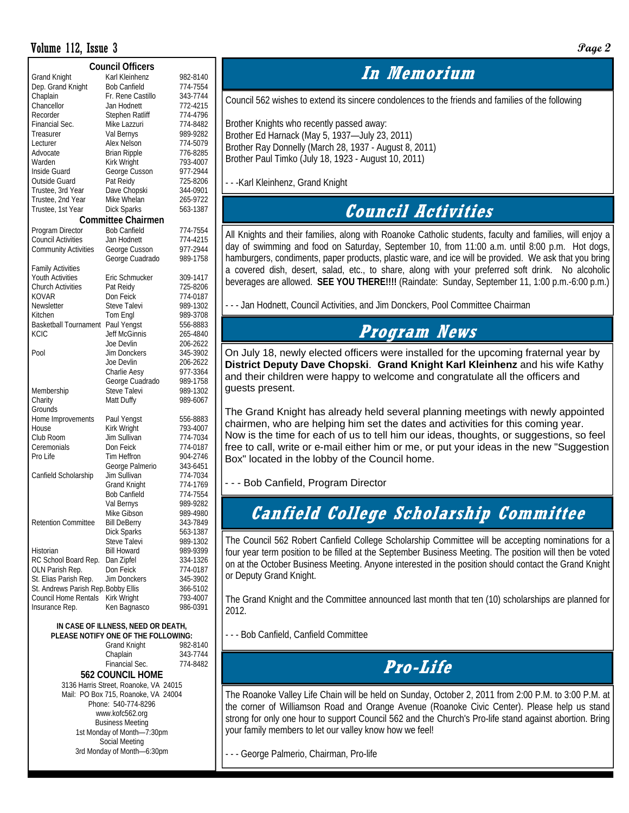#### Volume 112, Issue 3 **Page 2**

| <b>Council Officers</b>             |                           |                      |  |  |  |  |  |  |  |
|-------------------------------------|---------------------------|----------------------|--|--|--|--|--|--|--|
| <b>Grand Knight</b>                 | Karl Kleinhenz            | 982-8140             |  |  |  |  |  |  |  |
| Dep. Grand Knight                   | <b>Bob Canfield</b>       | 774-7554             |  |  |  |  |  |  |  |
| Chaplain                            | Fr. Rene Castillo         | 343-7744             |  |  |  |  |  |  |  |
| Chancellor                          | Jan Hodnett               | 772-4215             |  |  |  |  |  |  |  |
| Recorder                            | <b>Stephen Ratliff</b>    | 774-4796             |  |  |  |  |  |  |  |
| Financial Sec.                      | Mike Lazzuri              | 774-8482             |  |  |  |  |  |  |  |
| Treasurer                           | Val Bernys                | 989-9282             |  |  |  |  |  |  |  |
| Lecturer                            | Alex Nelson               | 774-5079             |  |  |  |  |  |  |  |
| Advocate                            | <b>Brian Ripple</b>       | 776-8285             |  |  |  |  |  |  |  |
| Warden                              |                           | 793-4007             |  |  |  |  |  |  |  |
|                                     | Kirk Wright               |                      |  |  |  |  |  |  |  |
| Inside Guard                        | George Cusson             | 977-2944             |  |  |  |  |  |  |  |
| Outside Guard                       | Pat Reidy                 | 725-8206             |  |  |  |  |  |  |  |
| Trustee, 3rd Year                   | Dave Chopski              | 344-0901             |  |  |  |  |  |  |  |
| Trustee, 2nd Year                   | Mike Whelan               | 265-9722<br>563-1387 |  |  |  |  |  |  |  |
| Trustee, 1st Year                   | Dick Sparks               |                      |  |  |  |  |  |  |  |
|                                     | <b>Committee Chairmen</b> |                      |  |  |  |  |  |  |  |
| Program Director                    | <b>Bob Canfield</b>       | 774-7554             |  |  |  |  |  |  |  |
| <b>Council Activities</b>           | Jan Hodnett               | 774-4215             |  |  |  |  |  |  |  |
| <b>Community Activities</b>         | George Cusson             | 977-2944             |  |  |  |  |  |  |  |
|                                     | George Cuadrado           | 989-1758             |  |  |  |  |  |  |  |
| <b>Family Activities</b>            |                           |                      |  |  |  |  |  |  |  |
| Youth Activities                    | Eric Schmucker            | 309-1417             |  |  |  |  |  |  |  |
| <b>Church Activities</b>            | Pat Reidy                 | 725-8206             |  |  |  |  |  |  |  |
| <b>KOVAR</b>                        | Don Feick                 | 774-0187             |  |  |  |  |  |  |  |
| Newsletter                          | Steve Talevi              | 989-1302             |  |  |  |  |  |  |  |
| Kitchen                             |                           | 989-3708             |  |  |  |  |  |  |  |
|                                     | Tom Engl                  |                      |  |  |  |  |  |  |  |
| <b>Basketball Tournament</b>        | Paul Yengst               | 556-8883             |  |  |  |  |  |  |  |
| <b>KCIC</b>                         | Jeff McGinnis             | 265-4840             |  |  |  |  |  |  |  |
|                                     | Joe Devlin                | 206-2622             |  |  |  |  |  |  |  |
| Pool                                | <b>Jim Donckers</b>       | 345-3902             |  |  |  |  |  |  |  |
|                                     | Joe Devlin                | 206-2622             |  |  |  |  |  |  |  |
|                                     | Charlie Aesy              | 977-3364             |  |  |  |  |  |  |  |
|                                     | George Cuadrado           | 989-1758             |  |  |  |  |  |  |  |
| Membership                          | Steve Talevi              | 989-1302             |  |  |  |  |  |  |  |
| Charity                             | Matt Duffy                | 989-6067             |  |  |  |  |  |  |  |
| Grounds                             |                           |                      |  |  |  |  |  |  |  |
| Home Improvements                   | Paul Yengst               | 556-8883             |  |  |  |  |  |  |  |
| House                               | Kirk Wright               | 793-4007             |  |  |  |  |  |  |  |
| Club Room                           | Jim Sullivan              | 774-7034             |  |  |  |  |  |  |  |
| Ceremonials                         | Don Feick                 | 774-0187             |  |  |  |  |  |  |  |
| Pro Life                            | Tim Heffron               | 904-2746             |  |  |  |  |  |  |  |
|                                     | George Palmerio           | 343-6451             |  |  |  |  |  |  |  |
| Canfield Scholarship                | Jim Sullivan              | 774-7034             |  |  |  |  |  |  |  |
|                                     | <b>Grand Knight</b>       | 774-1769             |  |  |  |  |  |  |  |
|                                     | <b>Bob Canfield</b>       | 774-7554             |  |  |  |  |  |  |  |
|                                     | Val Bernys                | 989-9282             |  |  |  |  |  |  |  |
|                                     |                           |                      |  |  |  |  |  |  |  |
|                                     | Mike Gibson               | 989-4980             |  |  |  |  |  |  |  |
| <b>Retention Committee</b>          | <b>Bill DeBerry</b>       | 343-7849             |  |  |  |  |  |  |  |
|                                     | Dick Sparks               | 563-1387             |  |  |  |  |  |  |  |
|                                     | Steve Talevi              | 989-1302             |  |  |  |  |  |  |  |
| Historian                           | <b>Bill Howard</b>        | 989-9399             |  |  |  |  |  |  |  |
| RC School Board Rep.                | Dan Zipfel                | 334-1326             |  |  |  |  |  |  |  |
| OLN Parish Rep.                     | Don Feick                 | 774-0187             |  |  |  |  |  |  |  |
| St. Elias Parish Rep.               | Jim Donckers              | 345-3902             |  |  |  |  |  |  |  |
| St. Andrews Parish Rep. Bobby Ellis |                           | 366-5102             |  |  |  |  |  |  |  |
| <b>Council Home Rentals</b>         | Kirk Wright               | 793-4007             |  |  |  |  |  |  |  |
| Insurance Rep.                      | Ken Bagnasco              | 986-0391             |  |  |  |  |  |  |  |

#### **IN CASE OF ILLNESS, NEED OR DEATH, PLEASE NOTIFY ONE OF THE FOLLOWING: 2-8140**

| <b>Grand Knight</b>       | 982-8140 |
|---------------------------|----------|
| Chaplain                  | 343-7744 |
| Financial Sec.            | 774-8482 |
| <b>FIS OOUNIAIL LIAME</b> |          |

**562 COUNCIL HOME**  3136 Harris Street, Roanoke, VA 24015 Mail: PO Box 715, Roanoke, VA 24004 Phone: 540-774-8296 www.kofc562.org Business Meeting 1st Monday of Month—7:30pm Social Meeting 3rd Monday of Month—6:30pm

#### **In Memorium**

Council 562 wishes to extend its sincere condolences to the friends and families of the following

Brother Knights who recently passed away: Brother Ed Harnack (May 5, 1937—July 23, 2011) Brother Ray Donnelly (March 28, 1937 - August 8, 2011) Brother Paul Timko (July 18, 1923 - August 10, 2011)

- - -Karl Kleinhenz, Grand Knight

### **Council Activities**

All Knights and their families, along with Roanoke Catholic students, faculty and families, will enjoy a day of swimming and food on Saturday, September 10, from 11:00 a.m. until 8:00 p.m. Hot dogs, hamburgers, condiments, paper products, plastic ware, and ice will be provided. We ask that you bring a covered dish, desert, salad, etc., to share, along with your preferred soft drink. No alcoholic beverages are allowed. **SEE YOU THERE!!!!** (Raindate: Sunday, September 11, 1:00 p.m.-6:00 p.m.)

- - - Jan Hodnett, Council Activities, and Jim Donckers, Pool Committee Chairman

#### **Program News**

On July 18, newly elected officers were installed for the upcoming fraternal year by **District Deputy Dave Chopski**. **Grand Knight Karl Kleinhenz** and his wife Kathy and their children were happy to welcome and congratulate all the officers and guests present.

The Grand Knight has already held several planning meetings with newly appointed chairmen, who are helping him set the dates and activities for this coming year. Now is the time for each of us to tell him our ideas, thoughts, or suggestions, so feel free to call, write or e-mail either him or me, or put your ideas in the new "Suggestion Box" located in the lobby of the Council home.

- - - Bob Canfield, Program Director

## **Canfield College Scholarship Committee**

The Council 562 Robert Canfield College Scholarship Committee will be accepting nominations for a four year term position to be filled at the September Business Meeting. The position will then be voted on at the October Business Meeting. Anyone interested in the position should contact the Grand Knight or Deputy Grand Knight.

The Grand Knight and the Committee announced last month that ten (10) scholarships are planned for 2012.

- - - Bob Canfield, Canfield Committee

## **Pro-Life**

The Roanoke Valley Life Chain will be held on Sunday, October 2, 2011 from 2:00 P.M. to 3:00 P.M. at the corner of Williamson Road and Orange Avenue (Roanoke Civic Center). Please help us stand strong for only one hour to support Council 562 and the Church's Pro-life stand against abortion. Bring your family members to let our valley know how we feel!

- - George Palmerio, Chairman, Pro-life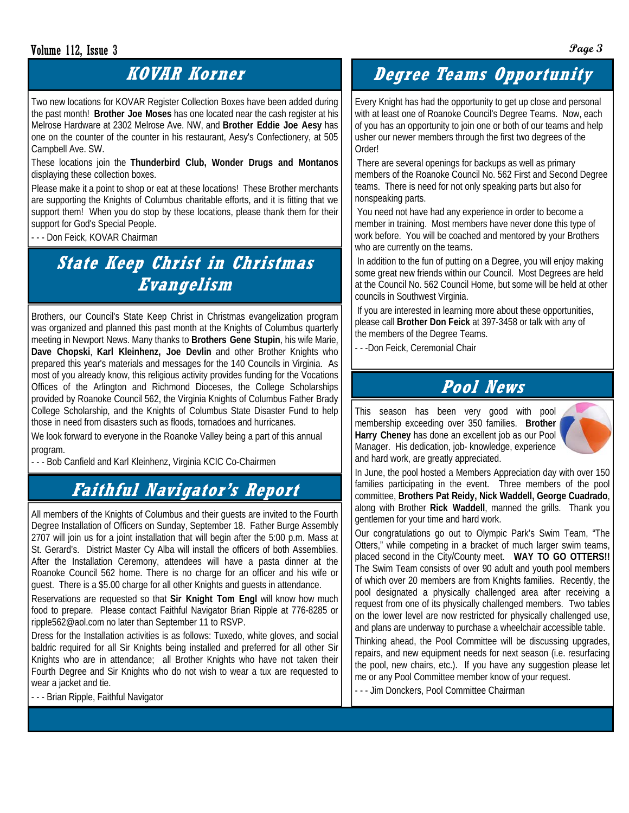#### Volume 112, Issue 3 **Page 3**

### **KOVAR Korner**

Two new locations for KOVAR Register Collection Boxes have been added during the past month! **Brother Joe Moses** has one located near the cash register at his Melrose Hardware at 2302 Melrose Ave. NW, and **Brother Eddie Joe Aesy** has one on the counter of the counter in his restaurant, Aesy's Confectionery, at 505 Campbell Ave. SW.

#### These locations join the **Thunderbird Club, Wonder Drugs and Montanos** displaying these collection boxes.

Please make it a point to shop or eat at these locations! These Brother merchants are supporting the Knights of Columbus charitable efforts, and it is fitting that we support them! When you do stop by these locations, please thank them for their support for God's Special People.

- - - Don Feick, KOVAR Chairman

## **State Keep Christ in Christmas Evangelism**

Brothers, our Council's State Keep Christ in Christmas evangelization program was organized and planned this past month at the Knights of Columbus quarterly meeting in Newport News. Many thanks to **Brothers Gene Stupin**, his wife Marie, **Dave Chopski**, **Karl Kleinhenz, Joe Devlin** and other Brother Knights who prepared this year's materials and messages for the 140 Councils in Virginia. As most of you already know, this religious activity provides funding for the Vocations Offices of the Arlington and Richmond Dioceses, the College Scholarships provided by Roanoke Council 562, the Virginia Knights of Columbus Father Brady College Scholarship, and the Knights of Columbus State Disaster Fund to help those in need from disasters such as floods, tornadoes and hurricanes.

We look forward to everyone in the Roanoke Valley being a part of this annual program.

- - - Bob Canfield and Karl Kleinhenz, Virginia KCIC Co-Chairmen

## **Faithful Navigator's Report**

All members of the Knights of Columbus and their guests are invited to the Fourth Degree Installation of Officers on Sunday, September 18. Father Burge Assembly 2707 will join us for a joint installation that will begin after the 5:00 p.m. Mass at St. Gerard's. District Master Cy Alba will install the officers of both Assemblies. After the Installation Ceremony, attendees will have a pasta dinner at the Roanoke Council 562 home. There is no charge for an officer and his wife or guest. There is a \$5.00 charge for all other Knights and guests in attendance.

Reservations are requested so that **Sir Knight Tom Engl** will know how much food to prepare. Please contact Faithful Navigator Brian Ripple at 776-8285 or ripple562@aol.com no later than September 11 to RSVP.

Dress for the Installation activities is as follows: Tuxedo, white gloves, and social baldric required for all Sir Knights being installed and preferred for all other Sir Knights who are in attendance; all Brother Knights who have not taken their Fourth Degree and Sir Knights who do not wish to wear a tux are requested to wear a jacket and tie.

- - - Brian Ripple, Faithful Navigator

## **Degree Teams Opportunity**

Every Knight has had the opportunity to get up close and personal with at least one of Roanoke Council's Degree Teams. Now, each of you has an opportunity to join one or both of our teams and help usher our newer members through the first two degrees of the Order!

 There are several openings for backups as well as primary members of the Roanoke Council No. 562 First and Second Degree teams. There is need for not only speaking parts but also for nonspeaking parts.

 You need not have had any experience in order to become a member in training. Most members have never done this type of work before. You will be coached and mentored by your Brothers who are currently on the teams.

 In addition to the fun of putting on a Degree, you will enjoy making some great new friends within our Council. Most Degrees are held at the Council No. 562 Council Home, but some will be held at other councils in Southwest Virginia.

 If you are interested in learning more about these opportunities, please call **Brother Don Feick** at 397-3458 or talk with any of the members of the Degree Teams.

- - -Don Feick, Ceremonial Chair

#### **Pool News**

This season has been very good with pool membership exceeding over 350 families. **Brother Harry Cheney** has done an excellent job as our Pool Manager. His dedication, job- knowledge, experience and hard work, are greatly appreciated.



In June, the pool hosted a Members Appreciation day with over 150 families participating in the event. Three members of the pool committee, **Brothers Pat Reidy, Nick Waddell, George Cuadrado**, along with Brother **Rick Waddell**, manned the grills. Thank you gentlemen for your time and hard work.

Our congratulations go out to Olympic Park's Swim Team, "The Otters," while competing in a bracket of much larger swim teams, placed second in the City/County meet. **WAY TO GO OTTERS!!** The Swim Team consists of over 90 adult and youth pool members of which over 20 members are from Knights families. Recently, the pool designated a physically challenged area after receiving a request from one of its physically challenged members. Two tables on the lower level are now restricted for physically challenged use, and plans are underway to purchase a wheelchair accessible table.

Thinking ahead, the Pool Committee will be discussing upgrades, repairs, and new equipment needs for next season (i.e. resurfacing the pool, new chairs, etc.). If you have any suggestion please let me or any Pool Committee member know of your request.

- - - Jim Donckers, Pool Committee Chairman